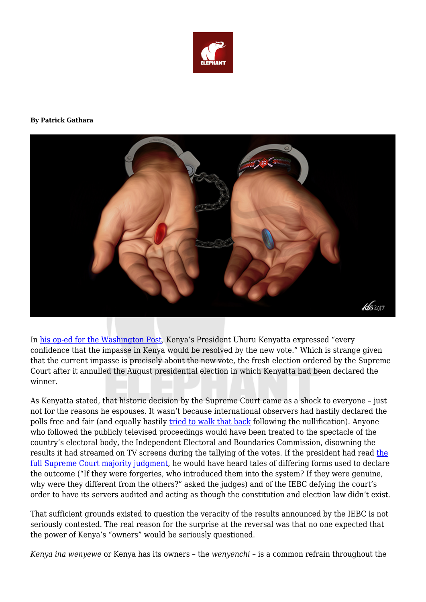

## **By Patrick Gathara**



In [his op-ed for the Washington Post](https://www.washingtonpost.com/news/global-opinions/wp/2017/10/25/uhuru-kenyatta-if-we-want-kenyas-democracy-to-work-then-let-the-people-vote/?tid=ss_tw&utm_term=.c8b3b77081e9), Kenya's President Uhuru Kenyatta expressed "every confidence that the impasse in Kenya would be resolved by the new vote." Which is strange given that the current impasse is precisely about the new vote, the fresh election ordered by the Supreme Court after it annulled the August presidential election in which Kenyatta had been declared the winner.

As Kenyatta stated, that historic decision by the Supreme Court came as a shock to everyone – just not for the reasons he espouses. It wasn't because international observers had hastily declared the polls free and fair (and equally hastily [tried to walk that back](http://foreignpolicy.com/2017/09/01/in-unprecedented-reversal-kenyas-top-court-throws-out-election-result-kenyatta-odinga/) following the nullification). Anyone who followed the publicly televised proceedings would have been treated to the spectacle of the country's electoral body, the Independent Electoral and Boundaries Commission, disowning the results it had streamed on TV screens during [the](http://www.judiciary.go.ke/portal/assets/filemanager_uploads/A%20-%20Decisions/Majority%20Full%20Judgment.pdf) tallying of the votes. If the president had read the [full Supreme Court majority judgment,](http://www.judiciary.go.ke/portal/assets/filemanager_uploads/A%20-%20Decisions/Majority%20Full%20Judgment.pdf) he would have heard tales of differing forms used to declare the outcome ("If they were forgeries, who introduced them into the system? If they were genuine, why were they different from the others?" asked the judges) and of the IEBC defying the court's order to have its servers audited and acting as though the constitution and election law didn't exist.

That sufficient grounds existed to question the veracity of the results announced by the IEBC is not seriously contested. The real reason for the surprise at the reversal was that no one expected that the power of Kenya's "owners" would be seriously questioned.

*Kenya ina wenyewe* or Kenya has its owners – the *wenyenchi* – is a common refrain throughout the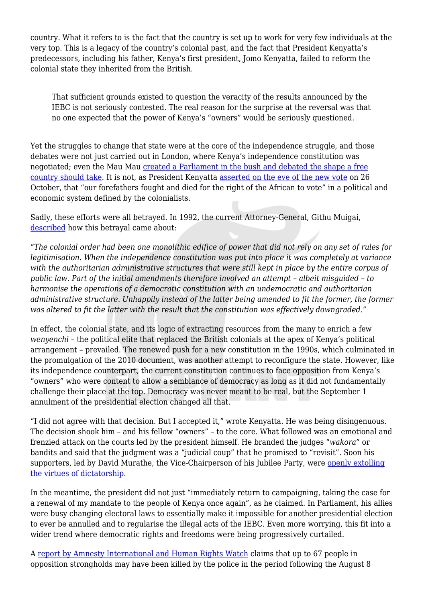country. What it refers to is the fact that the country is set up to work for very few individuals at the very top. This is a legacy of the country's colonial past, and the fact that President Kenyatta's predecessors, including his father, Kenya's first president, Jomo Kenyatta, failed to reform the colonial state they inherited from the British.

That sufficient grounds existed to question the veracity of the results announced by the IEBC is not seriously contested. The real reason for the surprise at the reversal was that no one expected that the power of Kenya's "owners" would be seriously questioned.

Yet the struggles to change that state were at the core of the independence struggle, and those debates were not just carried out in London, where Kenya's independence constitution was negotiated; even the Mau Mau [created a Parliament in the bush and debated the shape a free](https://www.academia.edu/1767783/Mau_Mau_the_revolutionary_force_from_Kenya) [country should take](https://www.academia.edu/1767783/Mau_Mau_the_revolutionary_force_from_Kenya). It is not, as President Kenyatta [asserted on the eve of the new vote](http://www.president.go.ke/2017/10/25/address-to-the-nation-by-his-excellency-hon-uhuru-kenyatta-c-g-h-president-of-the-republic-of-kenya-and-commander-in-chief-of-the-defence-forces-state-house-nairobi-25th-october-2017/) on 26 October, that "our forefathers fought and died for the right of the African to vote" in a political and economic system defined by the colonialists.

Sadly, these efforts were all betrayed. In 1992, the current Attorney-General, Githu Muigai, [described](http://gathara.blogspot.co.ke/2009/08/do-we-really-need-new-constitution.html) how this betrayal came about:

*"The colonial order had been one monolithic edifice of power that did not rely on any set of rules for legitimisation. When the independence constitution was put into place it was completely at variance with the authoritarian administrative structures that were still kept in place by the entire corpus of public law. Part of the initial amendments therefore involved an attempt – albeit misguided – to harmonise the operations of a democratic constitution with an undemocratic and authoritarian administrative structure. Unhappily instead of the latter being amended to fit the former, the former was altered to fit the latter with the result that the constitution was effectively downgraded."*

In effect, the colonial state, and its logic of extracting resources from the many to enrich a few *wenyenchi –* the political elite that replaced the British colonials at the apex of Kenya's political arrangement – prevailed. The renewed push for a new constitution in the 1990s, which culminated in the promulgation of the 2010 document, was another attempt to reconfigure the state. However, like its independence counterpart, the current constitution continues to face opposition from Kenya's "owners" who were content to allow a semblance of democracy as long as it did not fundamentally challenge their place at the top. Democracy was never meant to be real, but the September 1 annulment of the presidential election changed all that.

"I did not agree with that decision. But I accepted it," wrote Kenyatta. He was being disingenuous. The decision shook him – and his fellow "owners" – to the core. What followed was an emotional and frenzied attack on the courts led by the president himself. He branded the judges "*wakora*" or bandits and said that the judgment was a "judicial coup" that he promised to "revisit". Soon his supporters, led by David Murathe, the Vice-Chairperson of his Jubilee Party, were [openly extolling](https://www.the-star.co.ke/news/2017/09/30/be-a-dictator-to-save-kenya-jubilee-vice-chair-david-murathe-advises_c1644625) [the virtues of dictatorship](https://www.the-star.co.ke/news/2017/09/30/be-a-dictator-to-save-kenya-jubilee-vice-chair-david-murathe-advises_c1644625).

In the meantime, the president did not just "immediately return to campaigning, taking the case for a renewal of my mandate to the people of Kenya once again", as he claimed. In Parliament, his allies were busy changing electoral laws to essentially make it impossible for another presidential election to ever be annulled and to regularise the illegal acts of the IEBC. Even more worrying, this fit into a wider trend where democratic rights and freedoms were being progressively curtailed.

A [report by Amnesty International and Human Rights Watch](https://www.hrw.org/report/2017/10/15/kill-those-criminals/security-forces-violations-kenyas-august-2017-elections) claims that up to 67 people in opposition strongholds may have been killed by the police in the period following the August 8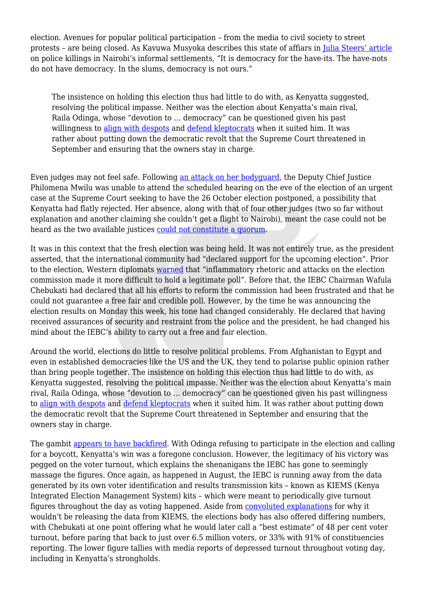election. Avenues for popular political participation – from the media to civil society to street protests – are being closed. As Kavuwa Musyoka describes this state of affiars in [Julia Steers' article](https://news.vice.com/story/kenyas-police-killings) on police killings in Nairobi's informal settlements, "It is democracy for the have-its. The have-nots do not have democracy. In the slums, democracy is not ours."

The insistence on holding this election thus had little to do with, as Kenyatta suggested, resolving the political impasse. Neither was the election about Kenyatta's main rival, Raila Odinga, whose "devotion to … democracy" can be questioned given his past willingness to [align with despots](http://www.irinnews.org/report/30707/kenya-kanu-ndp-merger-set-transform-national-politics) and [defend kleptocrats](http://allafrica.com/stories/200702050014.html) when it suited him. It was rather about putting down the democratic revolt that the Supreme Court threatened in September and ensuring that the owners stay in charge.

Even judges may not feel safe. Following [an attack on her bodyguard,](https://citizentv.co.ke/news/dcj-mwilus-driver-shot-by-gunmen-along-ngong-road-179758/) the Deputy Chief Justice Philomena Mwilu was unable to attend the scheduled hearing on the eve of the election of an urgent case at the Supreme Court seeking to have the 26 October election postponed, a possibility that Kenyatta had flatly rejected. Her absence, along with that of four other judges (two so far without explanation and another claiming she couldn't get a flight to Nairobi), meant the case could not be heard as the two available justices [could not constitute a quorum.](https://www.standardmedia.co.ke/article/2001258419/case-to-block-election-affected-by-lack-of-supreme-court-quorum)

It was in this context that the fresh election was being held. It was not entirely true, as the president asserted, that the international community had "declared support for the upcoming election". Prior to the election, Western diplomats [warned](http://www.bbc.com/news/world-africa-41719935) that "inflammatory rhetoric and attacks on the election commission made it more difficult to hold a legitimate poll". Before that, the IEBC Chairman Wafula Chebukati had declared that all his efforts to reform the commission had been frustrated and that he could not guarantee a free fair and credible poll. However, by the time he was announcing the election results on Monday this week, his tone had changed considerably. He declared that having received assurances of security and restraint from the police and the president, he had changed his mind about the IEBC's ability to carry out a free and fair election.

Around the world, elections do little to resolve political problems. From Afghanistan to Egypt and even in established democracies like the US and the UK, they tend to polarise public opinion rather than bring people together. The insistence on holding this election thus had little to do with, as Kenyatta suggested, resolving the political impasse. Neither was the election about Kenyatta's main rival, Raila Odinga, whose "devotion to … democracy" can be questioned given his past willingness to [align with despots](http://www.irinnews.org/report/30707/kenya-kanu-ndp-merger-set-transform-national-politics) and [defend kleptocrats](http://allafrica.com/stories/200702050014.html) when it suited him. It was rather about putting down the democratic revolt that the Supreme Court threatened in September and ensuring that the owners stay in charge.

The gambit [appears to have backfired](http://www.nation.co.ke/news/Uhuru-performs-dismally-in-Jubilee-and-Nasa-bedrocks/1056-4159438-f2eke1z/index.html). With Odinga refusing to participate in the election and calling for a boycott, Kenyatta's win was a foregone conclusion. However, the legitimacy of his victory was pegged on the voter turnout, which explains the shenanigans the IEBC has gone to seemingly massage the figures. Once again, as happened in August, the IEBC is running away from the data generated by its own voter identification and results transmission kits – known as KIEMS (Kenya Integrated Election Management System) kits – which were meant to periodically give turnout figures throughout the day as voting happened. Aside from [convoluted explanations](http://www.nation.co.ke/news/politics/IEBC-faced-with-tough-questions-on-presidential-votes-tallying/1064-4160316-40nwi2/index.html) for why it wouldn't be releasing the data from KIEMS, the elections body has also offered differing numbers, with Chebukati at one point offering what he would later call a "best estimate" of 48 per cent voter turnout, before paring that back to just over 6.5 million voters, or 33% with 91% of constituencies reporting. The lower figure tallies with media reports of depressed turnout throughout voting day, including in Kenyatta's strongholds.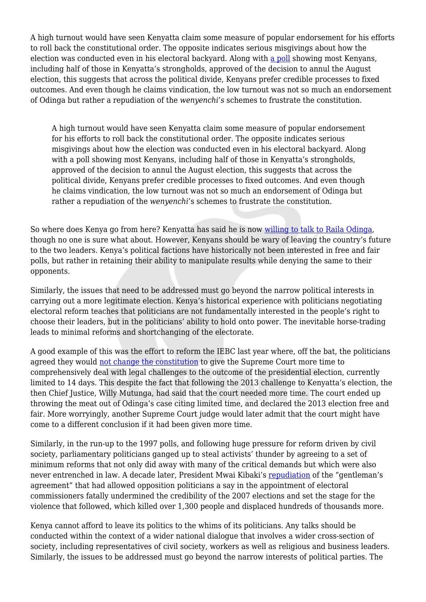A high turnout would have seen Kenyatta claim some measure of popular endorsement for his efforts to roll back the constitutional order. The opposite indicates serious misgivings about how the election was conducted even in his electoral backyard. Along with [a poll](https://www.capitalfm.co.ke/news/2017/09/84-pc-kenyans-want-polls-october-17-infotrak/) showing most Kenyans, including half of those in Kenyatta's strongholds, approved of the decision to annul the August election, this suggests that across the political divide, Kenyans prefer credible processes to fixed outcomes. And even though he claims vindication, the low turnout was not so much an endorsement of Odinga but rather a repudiation of the *wenyenchi's* schemes to frustrate the constitution.

A high turnout would have seen Kenyatta claim some measure of popular endorsement for his efforts to roll back the constitutional order. The opposite indicates serious misgivings about how the election was conducted even in his electoral backyard. Along with a poll showing most Kenyans, including half of those in Kenyatta's strongholds, approved of the decision to annul the August election, this suggests that across the political divide, Kenyans prefer credible processes to fixed outcomes. And even though he claims vindication, the low turnout was not so much an endorsement of Odinga but rather a repudiation of the *wenyenchi*'s schemes to frustrate the constitution.

So where does Kenya go from here? Kenyatta has said he is now [willing to talk to Raila Odinga](https://www.theguardian.com/world/2017/oct/26/kenyans-election-rerun-contested-kenyatta-odinga), though no one is sure what about. However, Kenyans should be wary of leaving the country's future to the two leaders. Kenya's political factions have historically not been interested in free and fair polls, but rather in retaining their ability to manipulate results while denying the same to their opponents.

Similarly, the issues that need to be addressed must go beyond the narrow political interests in carrying out a more legitimate election. Kenya's historical experience with politicians negotiating electoral reform teaches that politicians are not fundamentally interested in the people's right to choose their leaders, but in the politicians' ability to hold onto power. The inevitable horse-trading leads to minimal reforms and shortchanging of the electorate.

A good example of this was the effort to reform the IEBC last year where, off the bat, the politicians agreed they would [not change the constitution](http://mobile.nation.co.ke/news/Team-rules-out-changing-poll-date/1950946-3336882-iqlaiz/index.html) to give the Supreme Court more time to comprehensively deal with legal challenges to the outcome of the presidential election, currently limited to 14 days. This despite the fact that following the 2013 challenge to Kenyatta's election, the then Chief Justice, Willy Mutunga, had said that the court needed more time. The court ended up throwing the meat out of Odinga's case citing limited time, and declared the 2013 election free and fair. More worryingly, another Supreme Court judge would later admit that the court might have come to a different conclusion if it had been given more time.

Similarly, in the run-up to the 1997 polls, and following huge pressure for reform driven by civil society, parliamentary politicians ganged up to steal activists' thunder by agreeing to a set of minimum reforms that not only did away with many of the critical demands but which were also never entrenched in law. A decade later, President Mwai Kibaki's [repudiation](http://allafrica.com/stories/200701110917.html) of the "gentleman's agreement" that had allowed opposition politicians a say in the appointment of electoral commissioners fatally undermined the credibility of the 2007 elections and set the stage for the violence that followed, which killed over 1,300 people and displaced hundreds of thousands more.

Kenya cannot afford to leave its politics to the whims of its politicians. Any talks should be conducted within the context of a wider national dialogue that involves a wider cross-section of society, including representatives of civil society, workers as well as religious and business leaders. Similarly, the issues to be addressed must go beyond the narrow interests of political parties. The